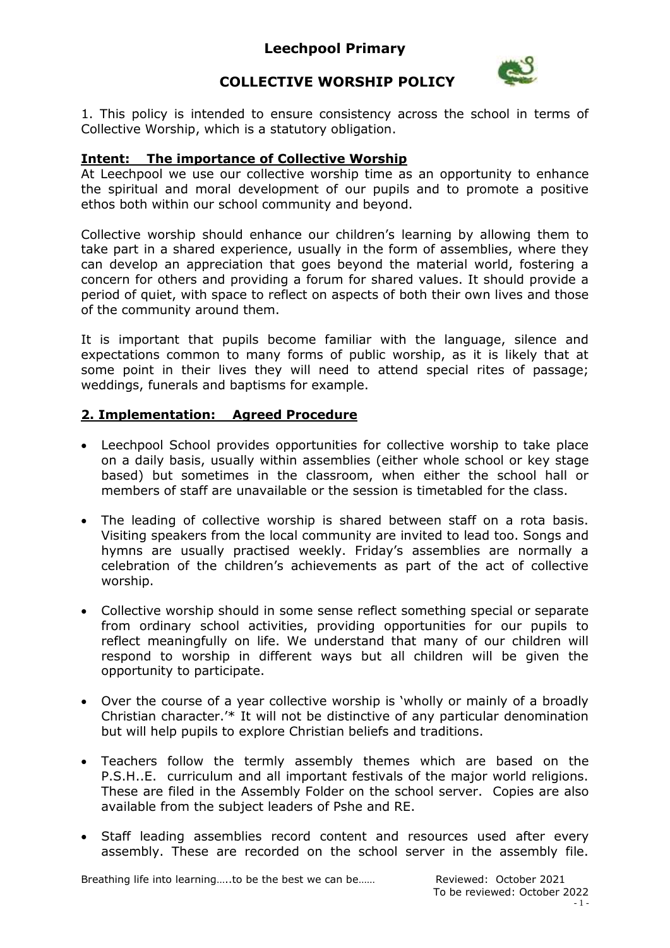### **Leechpool Primary**



# **COLLECTIVE WORSHIP POLICY**

1. This policy is intended to ensure consistency across the school in terms of Collective Worship, which is a statutory obligation.

#### **Intent: The importance of Collective Worship**

At Leechpool we use our collective worship time as an opportunity to enhance the spiritual and moral development of our pupils and to promote a positive ethos both within our school community and beyond.

Collective worship should enhance our children's learning by allowing them to take part in a shared experience, usually in the form of assemblies, where they can develop an appreciation that goes beyond the material world, fostering a concern for others and providing a forum for shared values. It should provide a period of quiet, with space to reflect on aspects of both their own lives and those of the community around them.

It is important that pupils become familiar with the language, silence and expectations common to many forms of public worship, as it is likely that at some point in their lives they will need to attend special rites of passage; weddings, funerals and baptisms for example.

#### **2. Implementation: Agreed Procedure**

- Leechpool School provides opportunities for collective worship to take place on a daily basis, usually within assemblies (either whole school or key stage based) but sometimes in the classroom, when either the school hall or members of staff are unavailable or the session is timetabled for the class.
- The leading of collective worship is shared between staff on a rota basis. Visiting speakers from the local community are invited to lead too. Songs and hymns are usually practised weekly. Friday's assemblies are normally a celebration of the children's achievements as part of the act of collective worship.
- Collective worship should in some sense reflect something special or separate from ordinary school activities, providing opportunities for our pupils to reflect meaningfully on life. We understand that many of our children will respond to worship in different ways but all children will be given the opportunity to participate.
- Over the course of a year collective worship is 'wholly or mainly of a broadly Christian character.'\* It will not be distinctive of any particular denomination but will help pupils to explore Christian beliefs and traditions.
- Teachers follow the termly assembly themes which are based on the P.S.H..E. curriculum and all important festivals of the major world religions. These are filed in the Assembly Folder on the school server. Copies are also available from the subject leaders of Pshe and RE.
- Staff leading assemblies record content and resources used after every assembly. These are recorded on the school server in the assembly file.

Breathing life into learning.....to be the best we can be…… Reviewed: October 2021